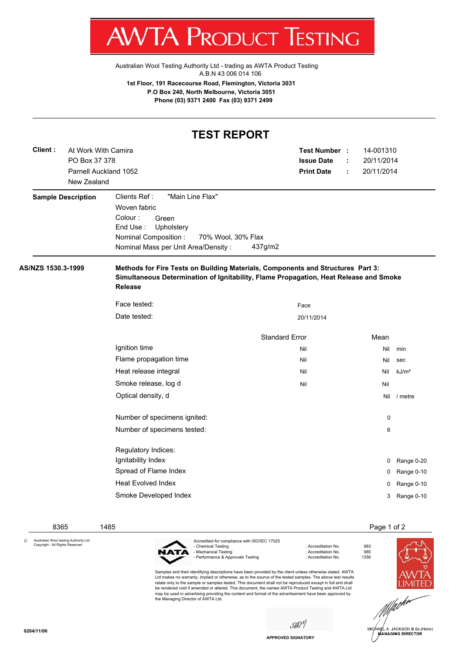T WVIA ENUDUCE **ILOTINA** 

[Australian Wool Testing Authority Ltd - trading as AWTA Product Testing](http://www.awtaproducttesting.com.au/) A.B.N 43 006 014 106

**1st Floor, 191 Racecourse Road, Flemington, Victoria 3031 P.O Box 240, North Melbourne, Victoria 3051 Phone (03) 9371 2400 Fax (03) 9371 2499**

## **TEST REPORT**

| Client:            | At Work With Camira                  |                                                                                                                                                                                            | Test Number :         |   | 14-001310   |                   |
|--------------------|--------------------------------------|--------------------------------------------------------------------------------------------------------------------------------------------------------------------------------------------|-----------------------|---|-------------|-------------------|
|                    | PO Box 37 378                        |                                                                                                                                                                                            | <b>Issue Date</b>     |   | 20/11/2014  |                   |
|                    | Parnell Auckland 1052<br>New Zealand |                                                                                                                                                                                            | <b>Print Date</b>     | ÷ | 20/11/2014  |                   |
|                    | <b>Sample Description</b>            | "Main Line Flax"<br>Clients Ref:<br>Woven fabric<br>Colour:<br>Green<br>End Use:<br>Upholstery<br>Nominal Composition :<br>70% Wool, 30% Flax<br>Nominal Mass per Unit Area/Density:       | 437g/m2               |   |             |                   |
| AS/NZS 1530.3-1999 |                                      | Methods for Fire Tests on Building Materials, Components and Structures Part 3:<br>Simultaneous Determination of Ignitability, Flame Propagation, Heat Release and Smoke<br><b>Release</b> |                       |   |             |                   |
|                    |                                      | Face tested:                                                                                                                                                                               | Face                  |   |             |                   |
|                    |                                      | Date tested:                                                                                                                                                                               | 20/11/2014            |   |             |                   |
|                    |                                      |                                                                                                                                                                                            | <b>Standard Error</b> |   | Mean        |                   |
|                    |                                      | Ignition time                                                                                                                                                                              | Nil                   |   | Nil         | min               |
|                    |                                      | Flame propagation time                                                                                                                                                                     | Nil                   |   | Nil         | sec               |
|                    |                                      | Heat release integral                                                                                                                                                                      | Nil                   |   | Nil         | kJ/m <sup>2</sup> |
|                    |                                      | Smoke release, log d                                                                                                                                                                       | Nil                   |   | Nil         |                   |
|                    |                                      | Optical density, d                                                                                                                                                                         |                       |   |             | Nil / metre       |
|                    |                                      | Number of specimens ignited:                                                                                                                                                               |                       |   | $\mathbf 0$ |                   |
|                    |                                      | Number of specimens tested:                                                                                                                                                                |                       |   | 6           |                   |
|                    |                                      | Regulatory Indices:                                                                                                                                                                        |                       |   |             |                   |
|                    |                                      | Ignitability Index                                                                                                                                                                         |                       |   |             | 0 Range 0-20      |
|                    |                                      | Spread of Flame Index                                                                                                                                                                      |                       |   | 0           | Range 0-10        |
|                    |                                      | <b>Heat Evolved Index</b>                                                                                                                                                                  |                       |   | 0           | Range 0-10        |
|                    |                                      | Smoke Developed Index                                                                                                                                                                      |                       |   | 3           | Range 0-10        |
|                    |                                      |                                                                                                                                                                                            |                       |   |             |                   |

© Australian Wool testing Authority Ltd Copyright - All Rights Reserved



Samples and their identifying descriptions have been provided by the client unless otherwise stated. AWTA Ltd makes no warranty, implied or otherwise, as to the source of the tested samples. The above test results relate only to the sample or samples tested. This document shall not be reproduced except in full and shall be rendered void if amended or altered. This document, the names AWTA Product Testing and AWTA Ltd may be used in advertising providing the content and format of the advertisement have been approved by the Managing Director of AWTA Ltd.

saon







**APPROVED SIGNATORY**